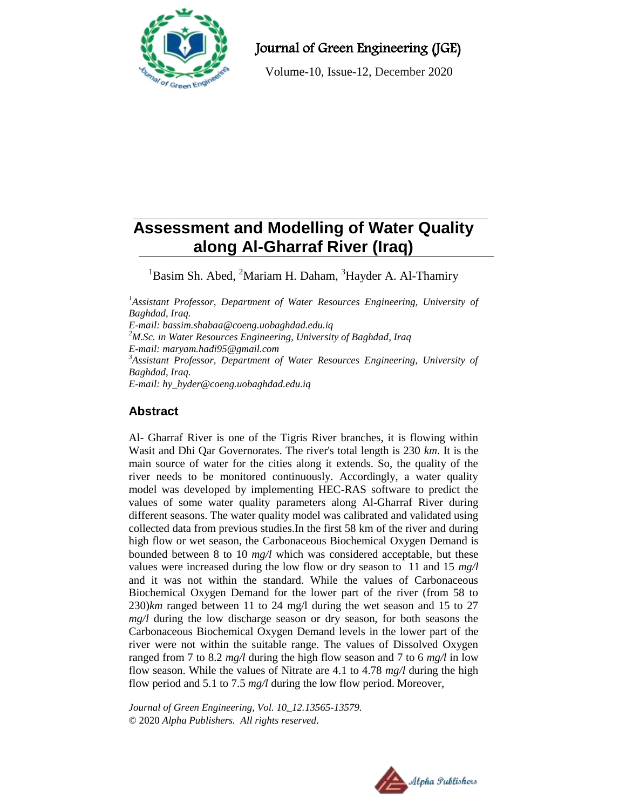

Journal of Green Engineering (JGE)

Volume-10, Issue-12, December 2020

# **Assessment and Modelling of Water Quality along Al-Gharraf River (Iraq)**

 ${}^{1}$ Basim Sh. Abed,  ${}^{2}$ Mariam H. Daham,  ${}^{3}$ Hayder A. Al-Thamiry

<sup>1</sup>Assistant Professor, Department of Water Resources Engineering, University of *Baghdad, Iraq. E-mail: [bassim.shabaa@coeng.uobaghdad.edu.iq](mailto:bassim.shabaa@coeng.uobaghdad.edu.iq) <sup>2</sup>M.Sc. in Water Resources Engineering, University of Baghdad, Iraq E-mail: [maryam.hadi95@gmail.com](mailto:bassim.shabaa@coeng.uobaghdad.edu.iq) <sup>3</sup>Assistant Professor, Department of Water Resources Engineering, University of Baghdad, Iraq. E-mail: [hy\\_hyder@coeng.uobaghdad.edu.iq](mailto:hy_hyder@coeng.uobaghdad.edu.iq)*

# **Abstract**

Al- Gharraf River is one of the Tigris River branches, it is flowing within Wasit and Dhi Qar Governorates. The river's total length is 230 *km*. It is the main source of water for the cities along it extends. So, the quality of the river needs to be monitored continuously. Accordingly, a water quality model was developed by implementing HEC-RAS software to predict the values of some water quality parameters along Al-Gharraf River during different seasons. The water quality model was calibrated and validated using collected data from previous studies.In the first 58 km of the river and during high flow or wet season, the Carbonaceous Biochemical Oxygen Demand is bounded between 8 to 10 *mg/l* which was considered acceptable, but these values were increased during the low flow or dry season to 11 and 15 *mg/l* and it was not within the standard. While the values of Carbonaceous Biochemical Oxygen Demand for the lower part of the river (from 58 to 230)*km* ranged between 11 to 24 mg/l during the wet season and 15 to 27 *mg/l* during the low discharge season or dry season, for both seasons the Carbonaceous Biochemical Oxygen Demand levels in the lower part of the river were not within the suitable range. The values of Dissolved Oxygen ranged from 7 to 8.2 *mg/l* during the high flow season and 7 to 6 *mg/l* in low flow season. While the values of Nitrate are 4.1 to 4.78 *mg/l* during the high flow period and 5.1 to 7.5 *mg/l* during the low flow period. Moreover,

*Journal of Green Engineering, Vol. 10\_12.13565-13579.* © 2020 *Alpha Publishers. All rights reserved.*

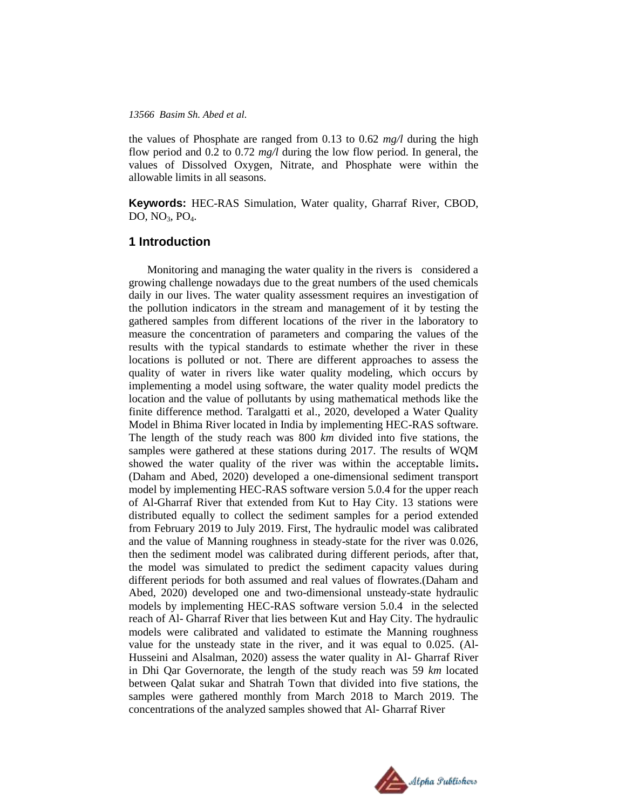the values of Phosphate are ranged from 0.13 to 0.62 *mg/l* during the high flow period and 0.2 to 0.72 *mg/l* during the low flow period. In general, the values of Dissolved Oxygen, Nitrate, and Phosphate were within the allowable limits in all seasons.

**Keywords:** HEC-RAS Simulation, Water quality, Gharraf River, CBOD, DO,  $NO<sub>3</sub>$ ,  $PO<sub>4</sub>$ .

## **1 Introduction**

Monitoring and managing the water quality in the rivers is considered a growing challenge nowadays due to the great numbers of the used chemicals daily in our lives. The water quality assessment requires an investigation of the pollution indicators in the stream and management of it by testing the gathered samples from different locations of the river in the laboratory to measure the concentration of parameters and comparing the values of the results with the typical standards to estimate whether the river in these locations is polluted or not. There are different approaches to assess the quality of water in rivers like water quality modeling, which occurs by implementing a model using software, the water quality model predicts the location and the value of pollutants by using mathematical methods like the finite difference method. Taralgatti et al., 2020, developed a Water Quality Model in Bhima River located in India by implementing HEC-RAS software. The length of the study reach was 800 *km* divided into five stations, the samples were gathered at these stations during 2017. The results of WQM showed the water quality of the river was within the acceptable limits**.**  (Daham and Abed, 2020) developed a one-dimensional sediment transport model by implementing HEC-RAS software version 5.0.4 for the upper reach of Al-Gharraf River that extended from Kut to Hay City. 13 stations were distributed equally to collect the sediment samples for a period extended from February 2019 to July 2019. First, The hydraulic model was calibrated and the value of Manning roughness in steady-state for the river was 0.026, then the sediment model was calibrated during different periods, after that, the model was simulated to predict the sediment capacity values during different periods for both assumed and real values of flowrates.(Daham and Abed, 2020) developed one and two-dimensional unsteady-state hydraulic models by implementing HEC-RAS software version 5.0.4 in the selected reach of Al- Gharraf River that lies between Kut and Hay City. The hydraulic models were calibrated and validated to estimate the Manning roughness value for the unsteady state in the river, and it was equal to 0.025. (Al-Husseini and Alsalman, 2020) assess the water quality in Al- Gharraf River in Dhi Qar Governorate, the length of the study reach was 59 *km* located between Qalat sukar and Shatrah Town that divided into five stations, the samples were gathered monthly from March 2018 to March 2019. The concentrations of the analyzed samples showed that Al- Gharraf River

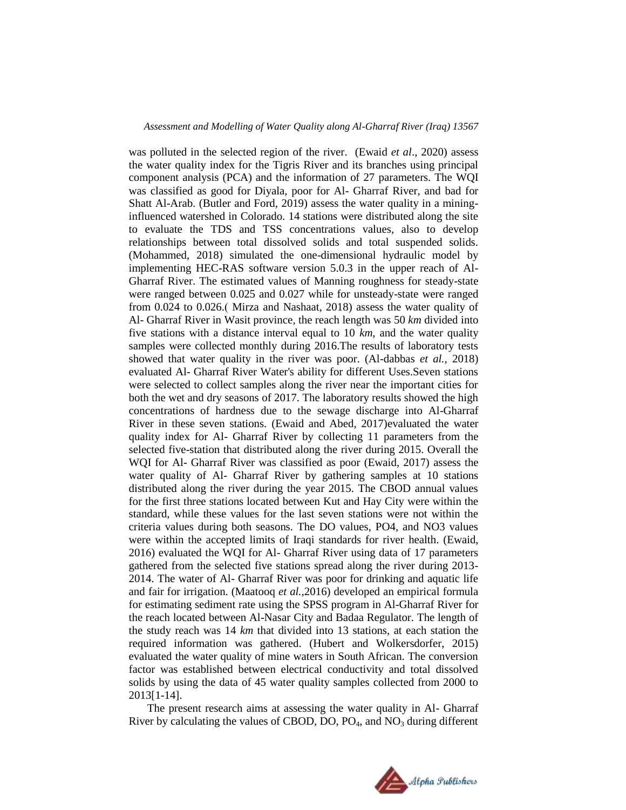was polluted in the selected region of the river. (Ewaid *et al*., 2020) assess the water quality index for the Tigris River and its branches using principal component analysis (PCA) and the information of 27 parameters. The WQI was classified as good for Diyala, poor for Al- Gharraf River, and bad for Shatt Al-Arab. (Butler and Ford, 2019) assess the water quality in a mininginfluenced watershed in Colorado. 14 stations were distributed along the site to evaluate the TDS and TSS concentrations values, also to develop relationships between total dissolved solids and total suspended solids. (Mohammed, 2018) simulated the one-dimensional hydraulic model by implementing HEC-RAS software version 5.0.3 in the upper reach of Al-Gharraf River. The estimated values of Manning roughness for steady-state were ranged between 0.025 and 0.027 while for unsteady-state were ranged from 0.024 to 0.026.( Mirza and Nashaat, 2018) assess the water quality of Al- Gharraf River in Wasit province, the reach length was 50 *km* divided into five stations with a distance interval equal to 10 *km*, and the water quality samples were collected monthly during 2016.The results of laboratory tests showed that water quality in the river was poor. (Al-dabbas *et al.,* 2018) evaluated Al- Gharraf River Water's ability for different Uses.Seven stations were selected to collect samples along the river near the important cities for both the wet and dry seasons of 2017. The laboratory results showed the high concentrations of hardness due to the sewage discharge into Al-Gharraf River in these seven stations. (Ewaid and Abed, 2017)evaluated the water quality index for Al- Gharraf River by collecting 11 parameters from the selected five-station that distributed along the river during 2015. Overall the WQI for Al- Gharraf River was classified as poor (Ewaid, 2017) assess the water quality of Al- Gharraf River by gathering samples at 10 stations distributed along the river during the year 2015. The CBOD annual values for the first three stations located between Kut and Hay City were within the standard, while these values for the last seven stations were not within the criteria values during both seasons. The DO values, PO4, and NO3 values were within the accepted limits of Iraqi standards for river health. (Ewaid, 2016) evaluated the WQI for Al- Gharraf River using data of 17 parameters gathered from the selected five stations spread along the river during 2013- 2014. The water of Al- Gharraf River was poor for drinking and aquatic life and fair for irrigation. (Maatooq *et al.,*2016) developed an empirical formula for estimating sediment rate using the SPSS program in Al-Gharraf River for the reach located between Al-Nasar City and Badaa Regulator. The length of the study reach was 14 *km* that divided into 13 stations, at each station the required information was gathered. (Hubert and Wolkersdorfer, 2015) evaluated the water quality of mine waters in South African. The conversion factor was established between electrical conductivity and total dissolved solids by using the data of 45 water quality samples collected from 2000 to 2013[1-14].

The present research aims at assessing the water quality in Al- Gharraf River by calculating the values of CBOD, DO,  $PO_4$ , and  $NO_3$  during different

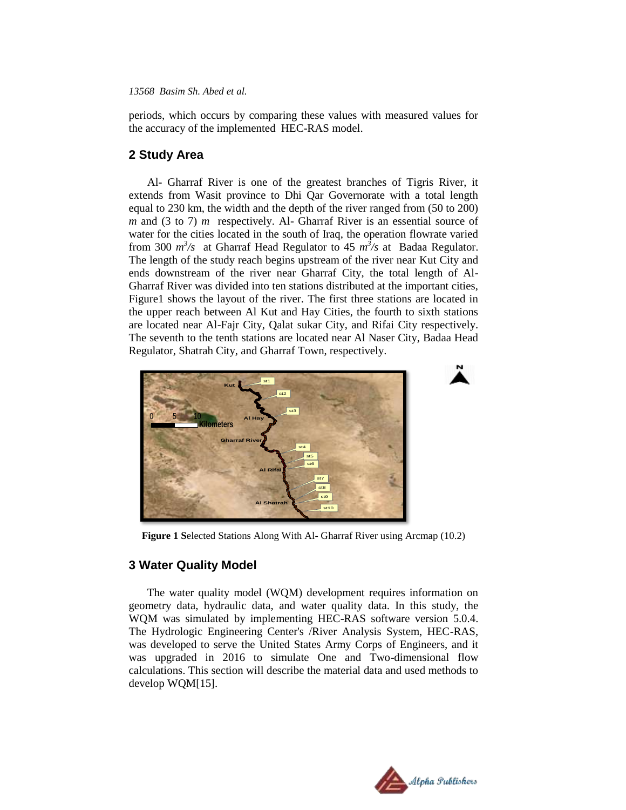periods, which occurs by comparing these values with measured values for the accuracy of the implemented HEC-RAS model.

# **2 Study Area**

Al- Gharraf River is one of the greatest branches of Tigris River, it extends from Wasit province to Dhi Qar Governorate with a total length equal to 230 km, the width and the depth of the river ranged from (50 to 200) *m* and (3 to 7) *m* respectively. Al- Gharraf River is an essential source of water for the cities located in the south of Iraq, the operation flowrate varied from 300  $m^3$ /s at Gharraf Head Regulator to 45  $m^3$ /s at Badaa Regulator. The length of the study reach begins upstream of the river near Kut City and ends downstream of the river near Gharraf City, the total length of Al-Gharraf River was divided into ten stations distributed at the important cities, Figure1 shows the layout of the river. The first three stations are located in the upper reach between Al Kut and Hay Cities, the fourth to sixth stations are located near Al-Fajr City, Qalat sukar City, and Rifai City respectively. The seventh to the tenth stations are located near Al Naser City, Badaa Head Regulator, Shatrah City, and Gharraf Town, respectively.



**Figure 1 S**elected Stations Along With Al- Gharraf River using Arcmap (10.2)

# **3 Water Quality Model**

The water quality model (WQM) development requires information on geometry data, hydraulic data, and water quality data. In this study, the WQM was simulated by implementing HEC-RAS software version 5.0.4. The Hydrologic Engineering Center's /River Analysis System, HEC-RAS, was developed to serve the United States Army Corps of Engineers, and it was upgraded in 2016 to simulate One and Two-dimensional flow calculations. This section will describe the material data and used methods to develop WQM[15].

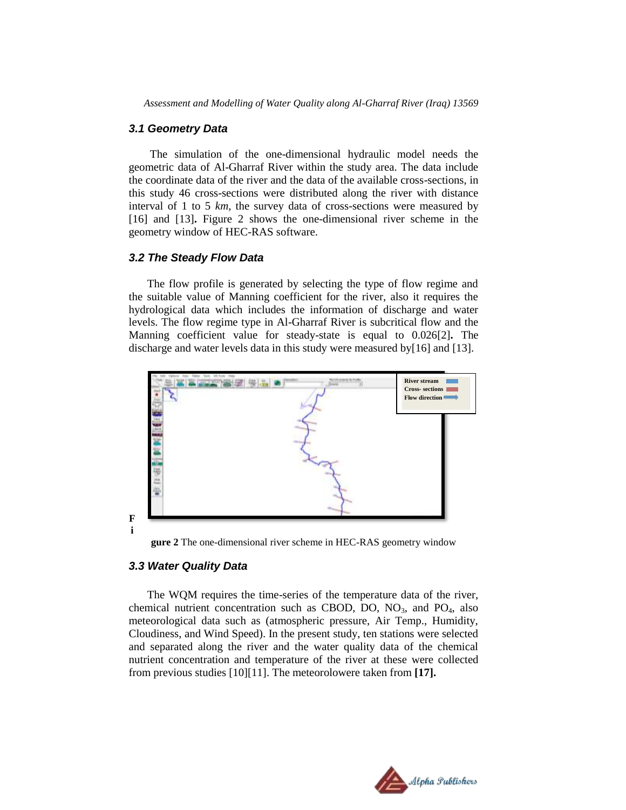*Assessment and Modelling of Water Quality along Al-Gharraf River (Iraq) 13569*

#### *3.1 Geometry Data*

The simulation of the one-dimensional hydraulic model needs the geometric data of Al-Gharraf River within the study area. The data include the coordinate data of the river and the data of the available cross-sections, in this study 46 cross-sections were distributed along the river with distance interval of 1 to 5 *km*, the survey data of cross-sections were measured by [16] and [13]**.** Figure 2 shows the one-dimensional river scheme in the geometry window of HEC-RAS software.

#### *3.2 The Steady Flow Data*

The flow profile is generated by selecting the type of flow regime and the suitable value of Manning coefficient for the river, also it requires the hydrological data which includes the information of discharge and water levels. The flow regime type in Al-Gharraf River is subcritical flow and the Manning coefficient value for steady-state is equal to 0.026[2]**.** The discharge and water levels data in this study were measured by[16] and [13].



**gure 2** The one-dimensional river scheme in HEC-RAS geometry window

#### *3.3 Water Quality Data*

The WQM requires the time-series of the temperature data of the river, chemical nutrient concentration such as CBOD, DO,  $NO<sub>3</sub>$ , and  $PO<sub>4</sub>$ , also meteorological data such as (atmospheric pressure, Air Temp., Humidity, Cloudiness, and Wind Speed). In the present study, ten stations were selected and separated along the river and the water quality data of the chemical nutrient concentration and temperature of the river at these were collected from previous studies [10][11]. The meteorolowere taken from **[17].**

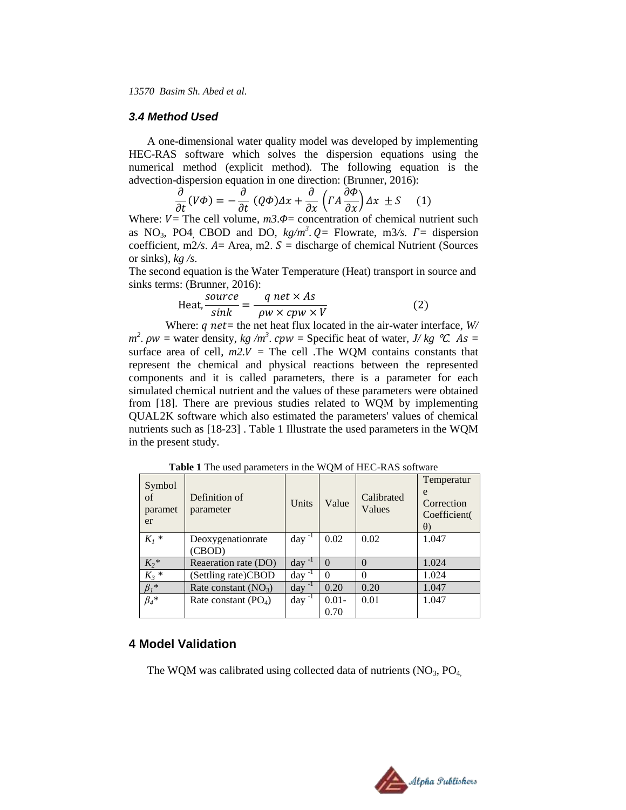#### *3.4 Method Used*

A one-dimensional water quality model was developed by implementing HEC-RAS software which solves the dispersion equations using the numerical method (explicit method). The following equation is the advection-dispersion equation in one direction: (Brunner, 2016):

$$
\frac{\partial}{\partial t}(V\Phi) = -\frac{\partial}{\partial t}(Q\Phi)\Delta x + \frac{\partial}{\partial x}\left(\Gamma A \frac{\partial \Phi}{\partial x}\right)\Delta x \pm S \quad (1)
$$

Where:  $V =$  The cell volume,  $m3.$   $\Phi$  = concentration of chemical nutrient such as NO<sub>3</sub>, PO4<sub>,</sub> CBOD and DO,  $kg/m^3$ .  $Q =$  Flowrate, m3/s.  $\Gamma =$  dispersion coefficient, m2/s.  $A =$  Area, m2.  $S =$  discharge of chemical Nutrient (Sources or sinks), *kg /s*.

The second equation is the Water Temperature (Heat) transport in source and sinks terms: (Brunner, 2016):

$$
Heat, \frac{source}{sink} = \frac{q net \times As}{\rho w \times cpw \times V}
$$
 (2)

Where:  $q$  net = the net heat flux located in the air-water interface,  $W/$  $m^2$ .  $\rho w$  = water density,  $kg/m^3$ .  $cpw$  = Specific heat of water, *J/ kg °C.* As = surface area of cell,  $m2.V =$  The cell .The WQM contains constants that represent the chemical and physical reactions between the represented components and it is called parameters, there is a parameter for each simulated chemical nutrient and the values of these parameters were obtained from [18]. There are previous studies related to WQM by implementing QUAL2K software which also estimated the parameters' values of chemical nutrients such as [18-23] . Table 1 Illustrate the used parameters in the WQM in the present study.

| Symbol<br>of<br>paramet<br>er | Definition of<br>parameter  | Units       | Value    | Calibrated<br>Values | Temperatur<br>e<br>Correction<br>Coefficient(<br>$\theta$ |
|-------------------------------|-----------------------------|-------------|----------|----------------------|-----------------------------------------------------------|
| $K_I$ *                       | Deoxygenationrate<br>(CBOD) | $day^{-1}$  | 0.02     | 0.02                 | 1.047                                                     |
| $K_2^*$                       | Reaeration rate (DO)        | day         | $\Omega$ | $\Omega$             | 1.024                                                     |
| $K_3$ *                       | (Settling rate)CBOD         | $-1$<br>day | 0        | $\Omega$             | 1.024                                                     |
| $\beta_i^*$                   | Rate constant $(NO_3)$      | $day^{-1}$  | 0.20     | 0.20                 | 1.047                                                     |
| $\beta_4$ *                   | Rate constant $(PO4)$       | $day^{-1}$  | $0.01 -$ | 0.01                 | 1.047                                                     |
|                               |                             |             | 0.70     |                      |                                                           |

**Table 1** The used parameters in the WQM of HEC-RAS software

# **4 Model Validation**

The WQM was calibrated using collected data of nutrients  $(NO<sub>3</sub>, PO<sub>4</sub>)$ 

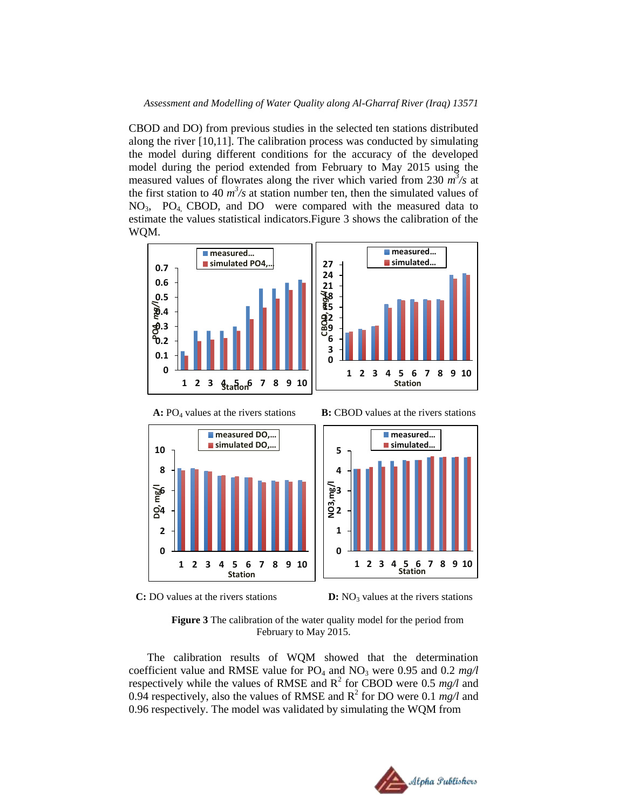CBOD and DO) from previous studies in the selected ten stations distributed along the river [10,11]. The calibration process was conducted by simulating the model during different conditions for the accuracy of the developed model during the period extended from February to May 2015 using the measured values of flowrates along the river which varied from 230 *m 3 /s* at the first station to 40  $m^3$ /s at station number ten, then the simulated values of NO3, PO4, CBOD, and DO were compared with the measured data to estimate the values statistical indicators.Figure 3 shows the calibration of the WQM.





 **A:** PO<sup>4</sup> values at the rivers stations **B:** CBOD values at the rivers stations



**C:** DO values at the rivers stations **D:** NO<sub>3</sub> values at the rivers stations



The calibration results of WQM showed that the determination coefficient value and RMSE value for PO<sub>4</sub> and NO<sub>3</sub> were 0.95 and 0.2 mg/l respectively while the values of RMSE and  $R^2$  for CBOD were 0.5  $mg/l$  and 0.94 respectively, also the values of RMSE and  $R^2$  for DO were 0.1  $mg/l$  and 0.96 respectively. The model was validated by simulating the WQM from

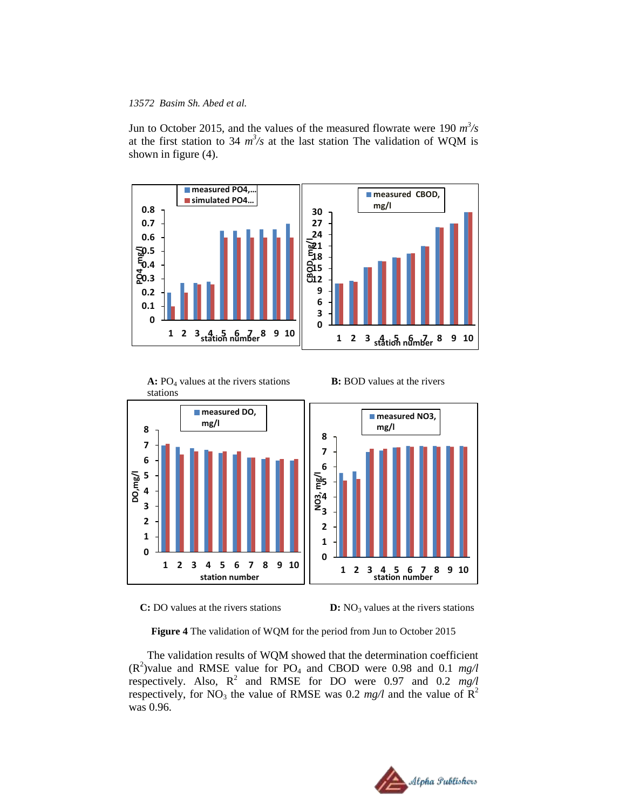Jun to October 2015, and the values of the measured flowrate were 190  $m^3/s$ at the first station to 34  $m^3/s$  at the last station The validation of WQM is shown in figure (4).







**Figure 4** The validation of WQM for the period from Jun to October 2015

The validation results of WQM showed that the determination coefficient  $(R^2)$ value and RMSE value for PO<sub>4</sub> and CBOD were 0.98 and 0.1  $mg/l$ respectively. Also,  $R^2$  and RMSE for DO were 0.97 and 0.2  $mg/l$ respectively, for NO<sub>3</sub> the value of RMSE was 0.2  $mg/l$  and the value of R<sup>2</sup> was 0.96.

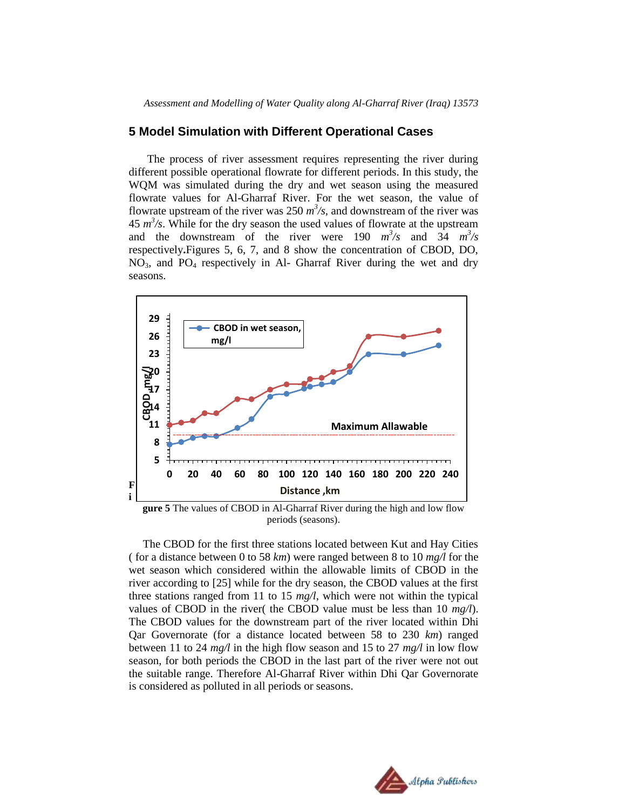#### **5 Model Simulation with Different Operational Cases**

The process of river assessment requires representing the river during different possible operational flowrate for different periods. In this study, the WQM was simulated during the dry and wet season using the measured flowrate values for Al-Gharraf River. For the wet season, the value of flowrate upstream of the river was 250  $m^3$ /s, and downstream of the river was  $45 \frac{m^3}{s}$ . While for the dry season the used values of flowrate at the upstream and the downstream of the river were 190  $m^3/s$  and  $3\overline{4}$   $m^3/s$ respectively**.**Figures 5, 6, 7, and 8 show the concentration of CBOD, DO, NO3, and PO<sup>4</sup> respectively in Al- Gharraf River during the wet and dry seasons.



**gure 5** The values of CBOD in Al-Gharraf River during the high and low flow periods (seasons).

 The CBOD for the first three stations located between Kut and Hay Cities ( for a distance between 0 to 58 *km*) were ranged between 8 to 10 *mg/l* for the wet season which considered within the allowable limits of CBOD in the river according to [25] while for the dry season, the CBOD values at the first three stations ranged from 11 to 15 *mg/l*, which were not within the typical values of CBOD in the river( the CBOD value must be less than 10 *mg/l*). The CBOD values for the downstream part of the river located within Dhi Qar Governorate (for a distance located between 58 to 230 *km*) ranged between 11 to 24 *mg/l* in the high flow season and 15 to 27 *mg/l* in low flow season, for both periods the CBOD in the last part of the river were not out the suitable range. Therefore Al-Gharraf River within Dhi Qar Governorate is considered as polluted in all periods or seasons.

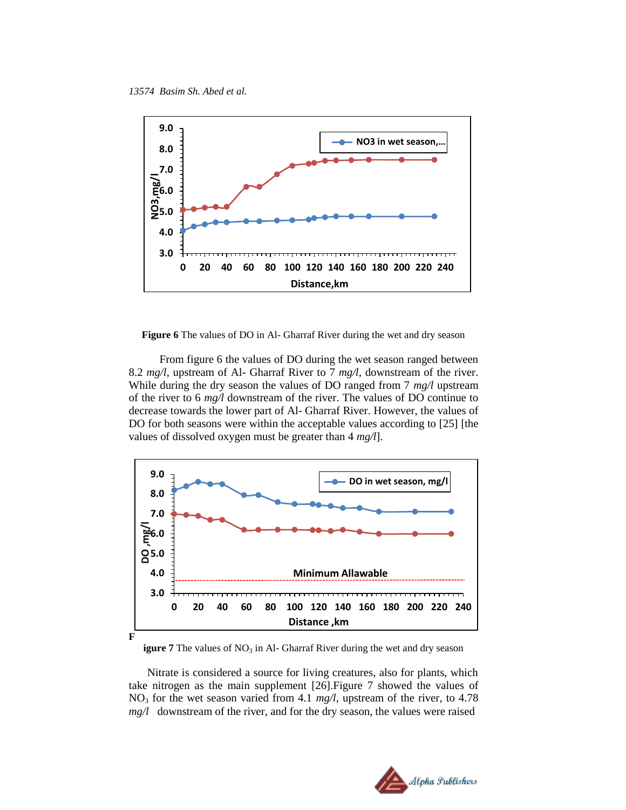

**Figure 6** The values of DO in Al- Gharraf River during the wet and dry season

 From figure 6 the values of DO during the wet season ranged between 8.2 *mg/l*, upstream of Al- Gharraf River to 7 *mg/l*, downstream of the river. While during the dry season the values of DO ranged from 7 *mg/l* upstream of the river to 6 *mg/l* downstream of the river. The values of DO continue to decrease towards the lower part of Al- Gharraf River. However, the values of DO for both seasons were within the acceptable values according to [25] [the values of dissolved oxygen must be greater than 4 *mg/l*].



**igure 7** The values of NO<sub>3</sub> in Al- Gharraf River during the wet and dry season

Nitrate is considered a source for living creatures, also for plants, which take nitrogen as the main supplement [26].Figure 7 showed the values of  $NO<sub>3</sub>$  for the wet season varied from 4.1  $mg/l$ , upstream of the river, to 4.78 *mg/l* downstream of the river, and for the dry season, the values were raised

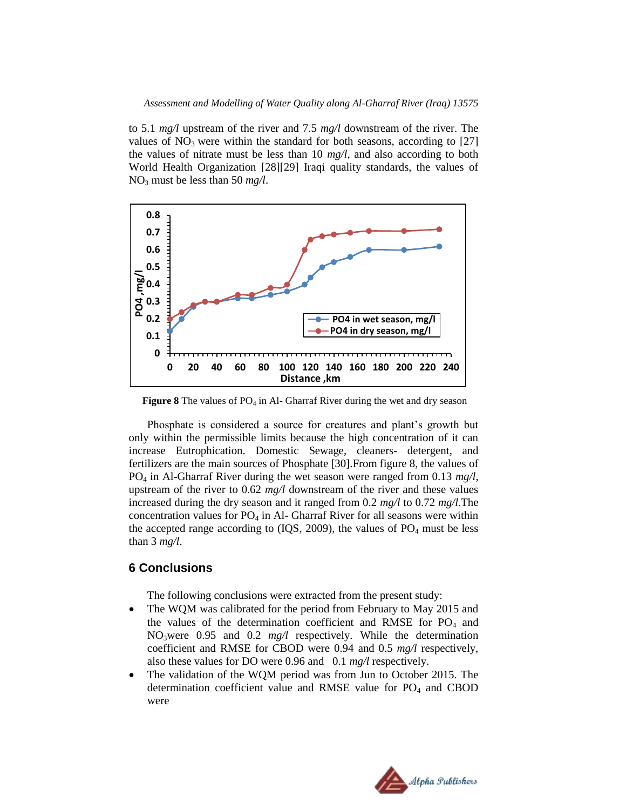to 5.1 *mg/l* upstream of the river and 7.5 *mg/l* downstream of the river. The values of  $NO<sub>3</sub>$  were within the standard for both seasons, according to [27] the values of nitrate must be less than 10 *mg/l*, and also according to both World Health Organization [28][29] Iraqi quality standards, the values of  $NO<sub>3</sub>$  must be less than 50 *mg*/*l*.



**Figure 8** The values of PO<sub>4</sub> in Al- Gharraf River during the wet and dry season

Phosphate is considered a source for creatures and plant's growth but only within the permissible limits because the high concentration of it can increase Eutrophication. Domestic Sewage, cleaners- detergent, and fertilizers are the main sources of Phosphate [30].From figure 8, the values of PO<sup>4</sup> in Al-Gharraf River during the wet season were ranged from 0.13 *mg/l*, upstream of the river to 0.62 *mg/l* downstream of the river and these values increased during the dry season and it ranged from 0.2 *mg/l* to 0.72 *mg/l*.The concentration values for  $PO_4$  in Al-Gharraf River for all seasons were within the accepted range according to  $(IQS, 2009)$ , the values of  $PO<sub>4</sub>$  must be less than 3 *mg/l*.

# **6 Conclusions**

The following conclusions were extracted from the present study:

- The WQM was calibrated for the period from February to May 2015 and the values of the determination coefficient and RMSE for  $PO<sub>4</sub>$  and NO3were 0.95 and 0.2 *mg/l* respectively. While the determination coefficient and RMSE for CBOD were 0.94 and 0.5 *mg/l* respectively, also these values for DO were 0.96 and 0.1 *mg/l* respectively.
- The validation of the WQM period was from Jun to October 2015. The determination coefficient value and RMSE value for  $PO<sub>4</sub>$  and CBOD were

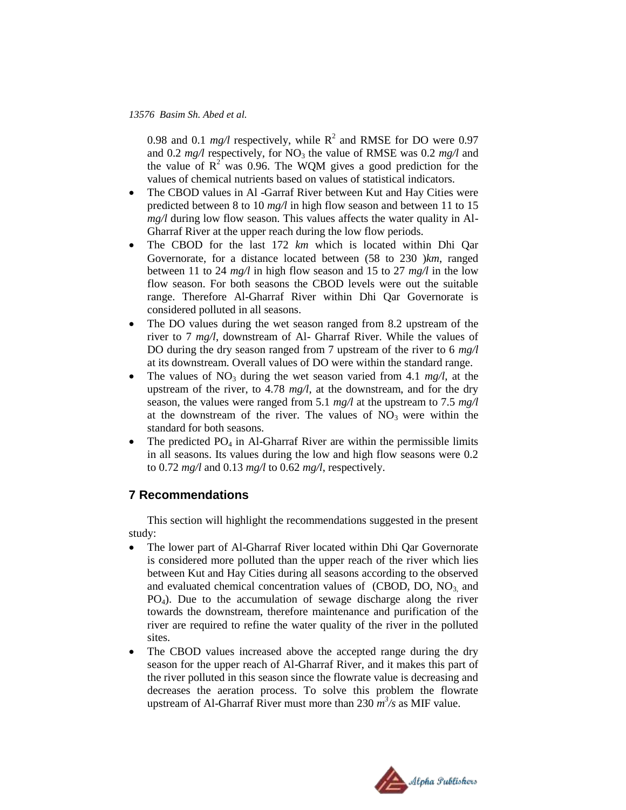0.98 and 0.1  $mg/l$  respectively, while  $R^2$  and RMSE for DO were 0.97 and 0.2  $mg/l$  respectively, for NO<sub>3</sub> the value of RMSE was 0.2  $mg/l$  and the value of  $R^2$  was 0.96. The WQM gives a good prediction for the values of chemical nutrients based on values of statistical indicators.

- The CBOD values in Al-Garraf River between Kut and Hay Cities were predicted between 8 to 10 *mg/l* in high flow season and between 11 to 15 *mg/l* during low flow season. This values affects the water quality in Al-Gharraf River at the upper reach during the low flow periods.
- The CBOD for the last 172 *km* which is located within Dhi Qar Governorate, for a distance located between (58 to 230 )*km*, ranged between 11 to 24 *mg/l* in high flow season and 15 to 27 *mg/l* in the low flow season. For both seasons the CBOD levels were out the suitable range. Therefore Al-Gharraf River within Dhi Qar Governorate is considered polluted in all seasons.
- The DO values during the wet season ranged from 8.2 upstream of the river to 7 *mg/l*, downstream of Al- Gharraf River. While the values of DO during the dry season ranged from 7 upstream of the river to 6 *mg/l* at its downstream. Overall values of DO were within the standard range.
- The values of  $NO_3$  during the wet season varied from 4.1  $mg/l$ , at the upstream of the river, to 4.78 *mg/l*, at the downstream, and for the dry season, the values were ranged from 5.1 *mg/l* at the upstream to 7.5 *mg/l* at the downstream of the river. The values of  $NO<sub>3</sub>$  were within the standard for both seasons.
- The predicted  $PO_4$  in Al-Gharraf River are within the permissible limits in all seasons. Its values during the low and high flow seasons were 0.2 to 0.72 *mg/l* and 0.13 *mg/l* to 0.62 *mg/l*, respectively.

# **7 Recommendations**

This section will highlight the recommendations suggested in the present study:

- The lower part of Al-Gharraf River located within Dhi Qar Governorate is considered more polluted than the upper reach of the river which lies between Kut and Hay Cities during all seasons according to the observed and evaluated chemical concentration values of  $(CBOD, DO, NO<sub>3</sub>)$  and PO4). Due to the accumulation of sewage discharge along the river towards the downstream, therefore maintenance and purification of the river are required to refine the water quality of the river in the polluted sites.
- The CBOD values increased above the accepted range during the dry season for the upper reach of Al-Gharraf River, and it makes this part of the river polluted in this season since the flowrate value is decreasing and decreases the aeration process. To solve this problem the flowrate upstream of Al-Gharraf River must more than  $230 \frac{m^3}{s}$  as MIF value.

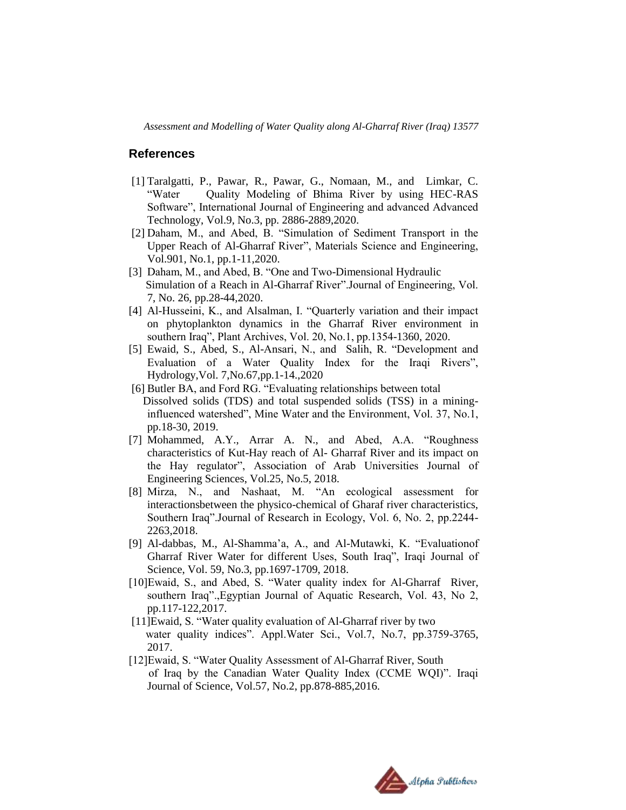*Assessment and Modelling of Water Quality along Al-Gharraf River (Iraq) 13577*

#### **References**

- [1] Taralgatti, P., Pawar, R., Pawar, G., Nomaan, M., and Limkar, C. "Water Quality Modeling of Bhima River by using HEC-RAS Software", International Journal of Engineering and advanced Advanced Technology, Vol.9, No.3, pp. 2886-2889,2020.
- [2] Daham, M., and Abed, B. "Simulation of Sediment Transport in the Upper Reach of Al-Gharraf River", Materials Science and Engineering, Vol.901, No.1, pp.1-11,2020.
- [3] Daham, M., and Abed, B. "One and Two-Dimensional Hydraulic Simulation of a Reach in Al-Gharraf River".Journal of Engineering, Vol. 7, No. 26, pp.28-44,2020.
- [4] Al-Husseini, K., and Alsalman, I. "Quarterly variation and their impact on phytoplankton dynamics in the Gharraf River environment in southern Iraq", Plant Archives, Vol. 20, No.1, pp.1354-1360, 2020.
- [5] Ewaid, S., Abed, S., Al-Ansari, N., and Salih, R. "Development and Evaluation of a Water Quality Index for the Iraqi Rivers", Hydrology,Vol. 7,No.67,pp.1-14.,2020
- [6] Butler BA, and Ford RG. "Evaluating relationships between total Dissolved solids (TDS) and total suspended solids (TSS) in a mininginfluenced watershed", Mine Water and the Environment, Vol. 37, No.1, pp.18-30, 2019.
- [7] Mohammed, A.Y., Arrar A. N., and Abed, A.A. "Roughness characteristics of Kut-Hay reach of Al- Gharraf River and its impact on the Hay regulator", Association of Arab Universities Journal of Engineering Sciences, Vol.25, No.5, 2018.
- [8] Mirza, N., and Nashaat, M. "An ecological assessment for interactionsbetween the physico-chemical of Gharaf river characteristics, Southern Iraq".Journal of Research in Ecology, Vol. 6, No. 2, pp.2244- 2263,2018.
- [9] Al-dabbas, M., Al-Shamma'a, A., and Al-Mutawki, K. "Evaluationof Gharraf River Water for different Uses, South Iraq", Iraqi Journal of Science, Vol. 59, No.3, pp.1697-1709, 2018.
- [10]Ewaid, S., and Abed, S. "Water quality index for Al-Gharraf River, southern Iraq".,Egyptian Journal of Aquatic Research, Vol. 43, No 2, pp.117-122,2017.
- [11]Ewaid, S. "Water quality evaluation of Al-Gharraf river by two water quality indices". Appl. Water Sci., Vol. 7, No. 7, pp. 3759-3765, 2017.
- [12]Ewaid, S. "Water Quality Assessment of Al-Gharraf River, South of Iraq by the Canadian Water Quality Index (CCME WQI)". Iraqi Journal of Science, Vol.57, No.2, pp.878-885,2016.

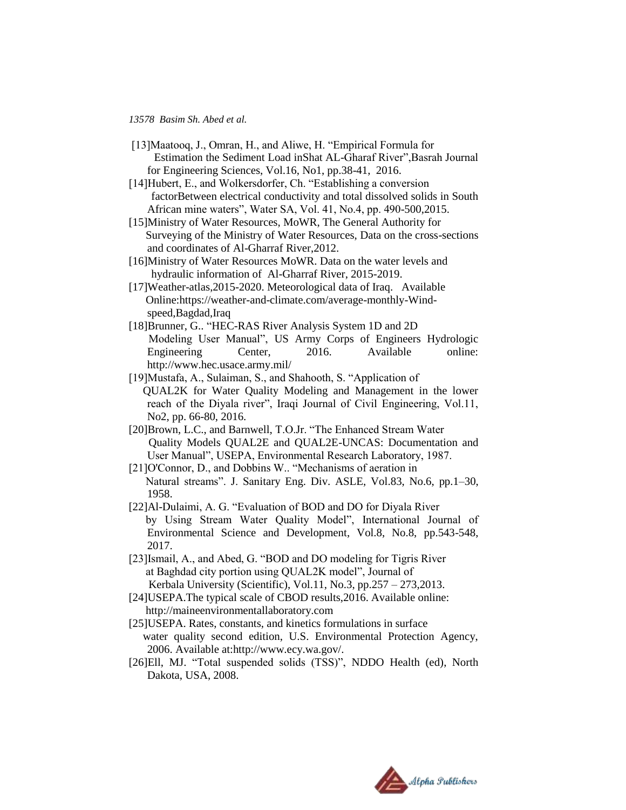- [13]Maatooq, J., Omran, H., and Aliwe, H. "Empirical Formula for Estimation the Sediment Load inShat AL-Gharaf River",Basrah Journal for Engineering Sciences, Vol.16, No1, pp.38-41, 2016.
- [14]Hubert, E., and Wolkersdorfer, Ch. "Establishing a conversion factorBetween electrical conductivity and total dissolved solids in South African mine waters", Water SA, Vol. 41, No.4, pp. 490-500,2015.
- [15]Ministry of Water Resources, MoWR, The General Authority for Surveying of the Ministry of Water Resources, Data on the cross-sections and coordinates of Al-Gharraf River,2012.
- [16]Ministry of Water Resources MoWR. Data on the water levels and hydraulic information of Al-Gharraf River, 2015-2019.
- [17]Weather-atlas, 2015-2020. Meteorological data of Iraq. Available Online:https://weather-and-climate.com/average-monthly-Windspeed,Bagdad,Iraq
- [18]Brunner, G.. "HEC-RAS River Analysis System 1D and 2D Modeling User Manual", US Army Corps of Engineers Hydrologic Engineering Center, 2016. Available online: http://www.hec.usace.army.mil/
- [19]Mustafa, A., Sulaiman, S., and Shahooth, S. "Application of QUAL2K for Water Quality Modeling and Management in the lower reach of the Diyala river", Iraqi Journal of Civil Engineering, Vol.11, No2, pp. 66-80, 2016.
- [20]Brown, L.C., and Barnwell, T.O.Jr. "The Enhanced Stream Water Quality Models QUAL2E and QUAL2E-UNCAS: Documentation and User Manual", USEPA, Environmental Research Laboratory, 1987.
- [21]O'Connor, D., and Dobbins W.. "Mechanisms of aeration in Natural streams". J. Sanitary Eng. Div. ASLE, Vol.83, No.6, pp.1–30, 1958.
- [22]Al-Dulaimi, A. G. "Evaluation of BOD and DO for Diyala River by Using Stream Water Quality Model", International Journal of Environmental Science and Development, Vol.8, No.8, pp.543-548, 2017.
- [23]Ismail, A., and Abed, G. "BOD and DO modeling for Tigris River at Baghdad city portion using QUAL2K model", Journal of Kerbala University (Scientific), Vol.11, No.3, pp.257 – 273,2013.
- [24]USEPA.The typical scale of CBOD results, 2016. Available online: http://maineenvironmentallaboratory.com
- [25]USEPA. Rates, constants, and kinetics formulations in surface water quality second edition, U.S. Environmental Protection Agency, 2006. Available at:http://www.ecy.wa.gov/.
- [26]Ell, MJ. "Total suspended solids (TSS)", NDDO Health (ed), North Dakota, USA, 2008.